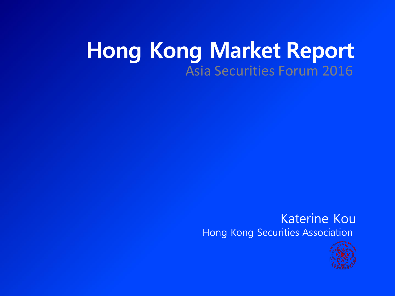## **Hong Kong Market Report** Asia Securities Forum 2016

#### Katerine Kou Hong Kong Securities Association

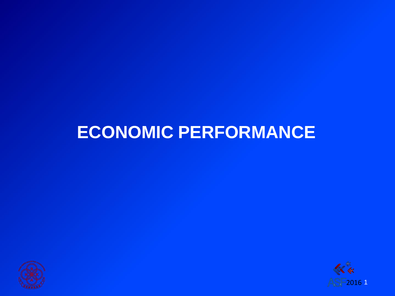## **ECONOMIC PERFORMANCE**



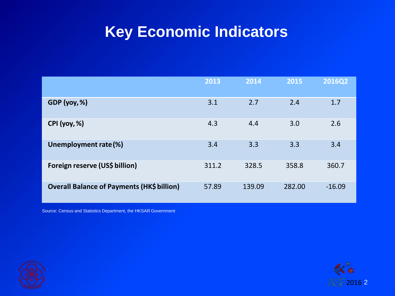### **Key Economic Indicators**

|                                                   | 2013  | 2014   | 2015   | <b>2016Q2</b> |
|---------------------------------------------------|-------|--------|--------|---------------|
| GDP(yoy, %)                                       | 3.1   | 2.7    | 2.4    | 1.7           |
| CPI (yoy, %)                                      | 4.3   | 4.4    | 3.0    | 2.6           |
| Unemployment rate (%)                             | 3.4   | 3.3    | 3.3    | 3.4           |
| Foreign reserve (US\$ billion)                    | 311.2 | 328.5  | 358.8  | 360.7         |
| <b>Overall Balance of Payments (HK\$ billion)</b> | 57.89 | 139.09 | 282.00 | $-16.09$      |

Source: Census and Statistics Department, the HKSAR Government



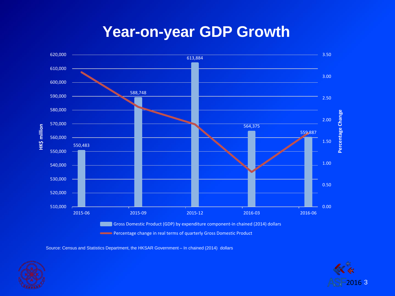#### **Year-on-year GDP Growth**



Source: Census and Statistics Department, the HKSAR Government – In chained (2014) dollars



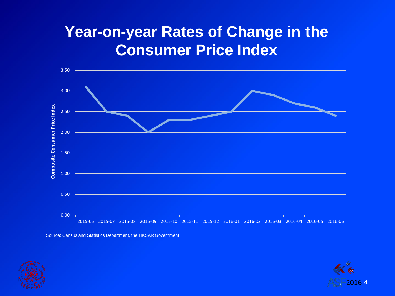## **Year-on-year Rates of Change in the Consumer Price Index**



Source: Census and Statistics Department, the HKSAR Government



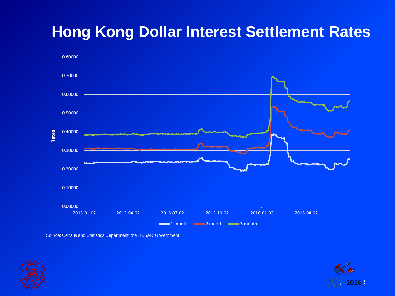## **Hong Kong Dollar Interest Settlement Rates**



Source: Census and Statistics Department, the HKSAR Government



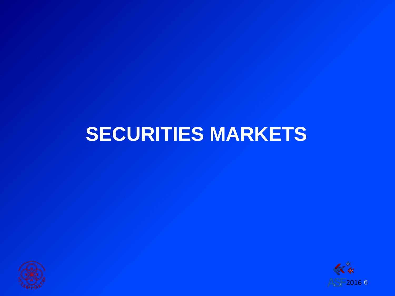## **SECURITIES MARKETS**



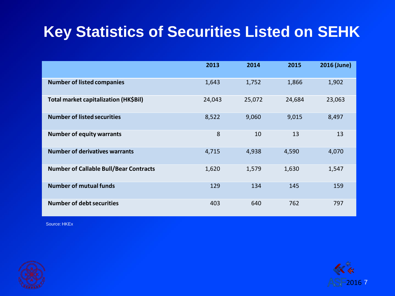## **Key Statistics of Securities Listed on SEHK**

|                                               | 2013   | 2014   | 2015   | 2016 (June) |
|-----------------------------------------------|--------|--------|--------|-------------|
| <b>Number of listed companies</b>             | 1,643  | 1,752  | 1,866  | 1,902       |
| Total market capitalization (HK\$Bil)         | 24,043 | 25,072 | 24,684 | 23,063      |
| <b>Number of listed securities</b>            | 8,522  | 9,060  | 9,015  | 8,497       |
| <b>Number of equity warrants</b>              | 8      | 10     | 13     | 13          |
| <b>Number of derivatives warrants</b>         | 4,715  | 4,938  | 4,590  | 4,070       |
| <b>Number of Callable Bull/Bear Contracts</b> | 1,620  | 1,579  | 1,630  | 1,547       |
| <b>Number of mutual funds</b>                 | 129    | 134    | 145    | 159         |
| <b>Number of debt securities</b>              | 403    | 640    | 762    | 797         |



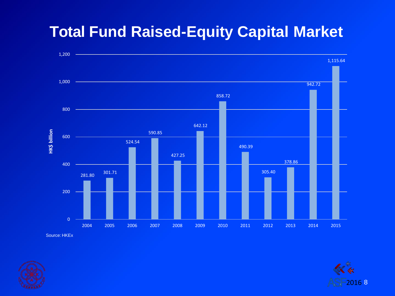#### **Total Fund Raised-Equity Capital Market**





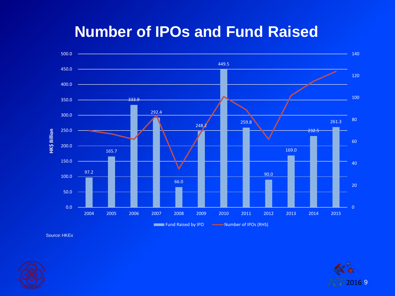#### **Number of IPOs and Fund Raised**





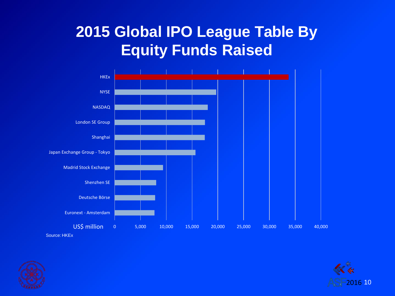## **2015 Global IPO League Table By Equity Funds Raised**





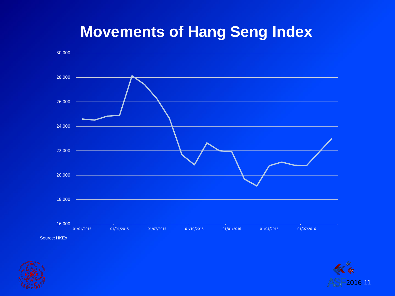#### **Movements of Hang Seng Index**





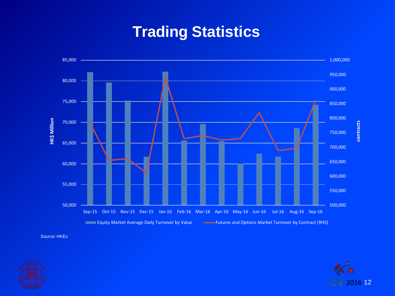## **Trading Statistics**





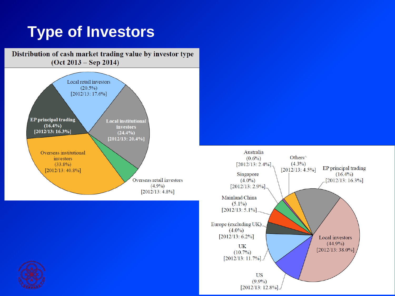## **Type of Investors**



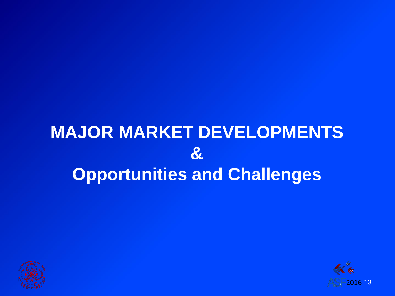## **MAJOR MARKET DEVELOPMENTS & Opportunities and Challenges**



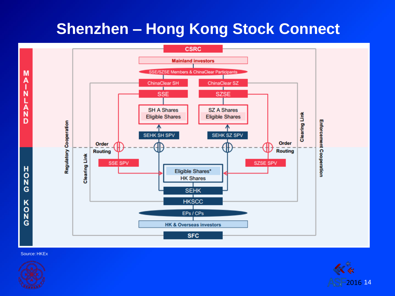## **Shenzhen – Hong Kong Stock Connect**





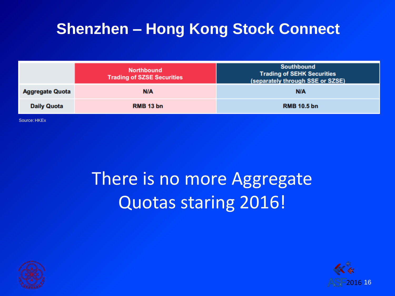## **Shenzhen – Hong Kong Stock Connect**

|                        | <b>Northbound</b><br><b>Trading of SZSE Securities</b> | <b>Southbound</b><br><b>Trading of SEHK Securities</b><br>(separately through SSE or SZSE) |
|------------------------|--------------------------------------------------------|--------------------------------------------------------------------------------------------|
| <b>Aggregate Quota</b> | <b>N/A</b>                                             | <b>N/A</b>                                                                                 |
| <b>Daily Quota</b>     | RMB 13 bn                                              | <b>RMB 10.5 bn</b>                                                                         |
| Source: HKEx           |                                                        |                                                                                            |

## There is no more Aggregate Quotas staring 2016!



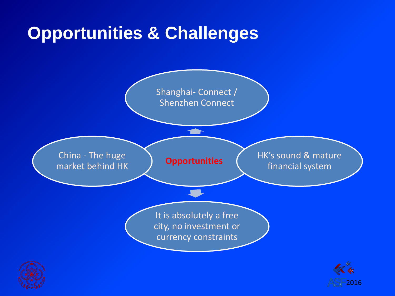## **Opportunities & Challenges**



2016

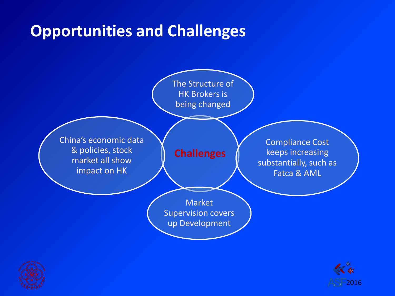## **Opportunities and Challenges**